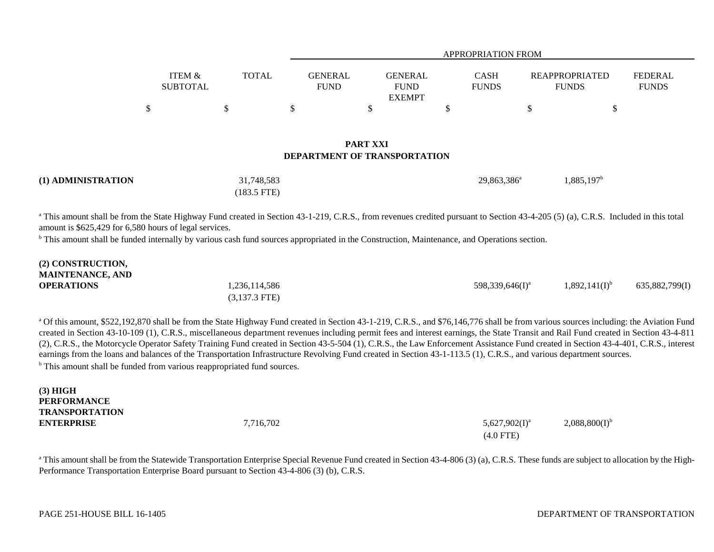|                                        | <b>APPROPRIATION FROM</b>                      |                             |                                       |                                |
|----------------------------------------|------------------------------------------------|-----------------------------|---------------------------------------|--------------------------------|
| <b>TOTAL</b><br>GENERAL<br><b>FUND</b> | <b>GENERAL</b><br><b>FUND</b><br><b>EXEMPT</b> | <b>CASH</b><br><b>FUNDS</b> | <b>REAPPROPRIATED</b><br><b>FUNDS</b> | <b>FEDERAL</b><br><b>FUNDS</b> |
|                                        |                                                |                             |                                       |                                |
|                                        |                                                |                             |                                       |                                |

## **PART XXIDEPARTMENT OF TRANSPORTATION**

| (1) ADMINISTRATION | 31,748,583            | 29,863,386 <sup>a</sup> | $1,885,197^{\circ}$ |
|--------------------|-----------------------|-------------------------|---------------------|
|                    | $(183.5 \text{ FTE})$ |                         |                     |

<sup>a</sup> This amount shall be from the State Highway Fund created in Section 43-1-219, C.R.S., from revenues credited pursuant to Section 43-4-205 (5) (a), C.R.S. Included in this total amount is \$625,429 for 6,580 hours of legal services.

<sup>b</sup> This amount shall be funded internally by various cash fund sources appropriated in the Construction, Maintenance, and Operations section.

| (2) CONSTRUCTION,<br><b>MAINTENANCE, AND</b> |                 |                             |                    |                |
|----------------------------------------------|-----------------|-----------------------------|--------------------|----------------|
| <b>OPERATIONS</b>                            | 1,236,114,586   | 598,339,646(I) <sup>a</sup> | $1,892,141(I)^{6}$ | 635,882,799(I) |
|                                              | $(3,137.3$ FTE) |                             |                    |                |

<sup>a</sup> Of this amount, \$522,192,870 shall be from the State Highway Fund created in Section 43-1-219, C.R.S., and \$76,146,776 shall be from various sources including: the Aviation Fund created in Section 43-10-109 (1), C.R.S., miscellaneous department revenues including permit fees and interest earnings, the State Transit and Rail Fund created in Section 43-4-811 (2), C.R.S., the Motorcycle Operator Safety Training Fund created in Section 43-5-504 (1), C.R.S., the Law Enforcement Assistance Fund created in Section 43-4-401, C.R.S., interest earnings from the loans and balances of the Transportation Infrastructure Revolving Fund created in Section 43-1-113.5 (1), C.R.S., and various department sources. <sup>b</sup> This amount shall be funded from various reappropriated fund sources.

**(3) HIGH PERFORMANCETRANSPORTATIONENTERPRISE**

**E**  $7,716,702$   $5,627,902(1)^{a}$   $2,088,800(1)^{b}$ (4.0 FTE)

<sup>a</sup> This amount shall be from the Statewide Transportation Enterprise Special Revenue Fund created in Section 43-4-806 (3) (a), C.R.S. These funds are subject to allocation by the High-Performance Transportation Enterprise Board pursuant to Section 43-4-806 (3) (b), C.R.S.